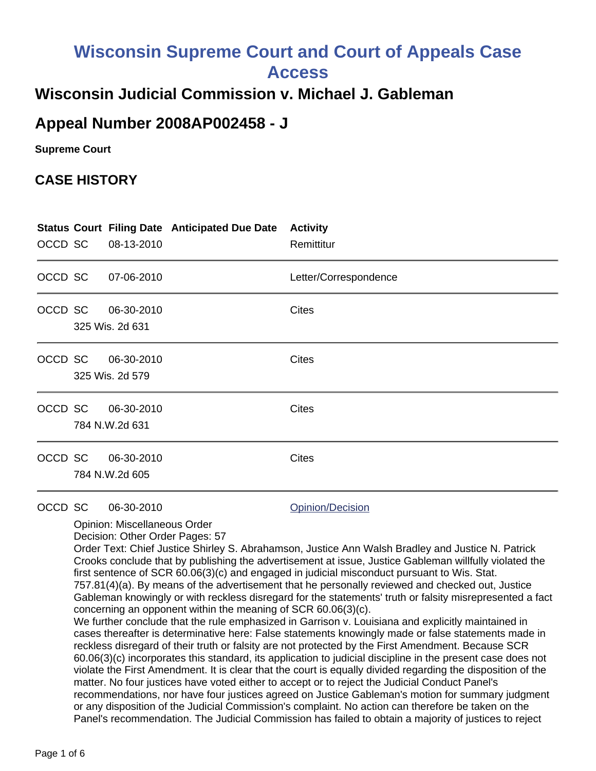# **Wisconsin Supreme Court and Court of Appeals Case Access**

## **Wisconsin Judicial Commission v. Michael J. Gableman**

## **Appeal Number 2008AP002458 - J**

**Supreme Court** 

## **CASE HISTORY**

| OCCD SC | 08-13-2010                    | <b>Status Court Filing Date Anticipated Due Date</b> | <b>Activity</b><br>Remittitur |
|---------|-------------------------------|------------------------------------------------------|-------------------------------|
| OCCD SC | 07-06-2010                    |                                                      | Letter/Correspondence         |
| OCCD SC | 06-30-2010<br>325 Wis. 2d 631 |                                                      | <b>Cites</b>                  |
| OCCD SC | 06-30-2010<br>325 Wis. 2d 579 |                                                      | <b>Cites</b>                  |
| OCCD SC | 06-30-2010<br>784 N.W.2d 631  |                                                      | <b>Cites</b>                  |
| OCCD SC | 06-30-2010<br>784 N.W.2d 605  |                                                      | <b>Cites</b>                  |

OCCD SC 06-30-2010 COLLECTE CONTENTS CONTENTS CONTENTS CONTENTS CONTENTS CONTENTS CONTENTS CONTENTS CONTENTS CONTENTS CONTENTS CONTENTS CONTENTS CONTENTS CONTENTS CONTENTS

Opinion: Miscellaneous Order

Decision: Other Order Pages: 57 Order Text: Chief Justice Shirley S. Abrahamson, Justice Ann Walsh Bradley and Justice N. Patrick

Crooks conclude that by publishing the advertisement at issue, Justice Gableman willfully violated the first sentence of SCR 60.06(3)(c) and engaged in judicial misconduct pursuant to Wis. Stat. 757.81(4)(a). By means of the advertisement that he personally reviewed and checked out, Justice Gableman knowingly or with reckless disregard for the statements' truth or falsity misrepresented a fact concerning an opponent within the meaning of SCR 60.06(3)(c).

We further conclude that the rule emphasized in Garrison v. Louisiana and explicitly maintained in cases thereafter is determinative here: False statements knowingly made or false statements made in reckless disregard of their truth or falsity are not protected by the First Amendment. Because SCR 60.06(3)(c) incorporates this standard, its application to judicial discipline in the present case does not violate the First Amendment. It is clear that the court is equally divided regarding the disposition of the matter. No four justices have voted either to accept or to reject the Judicial Conduct Panel's recommendations, nor have four justices agreed on Justice Gableman's motion for summary judgment or any disposition of the Judicial Commission's complaint. No action can therefore be taken on the Panel's recommendation. The Judicial Commission has failed to obtain a majority of justices to reject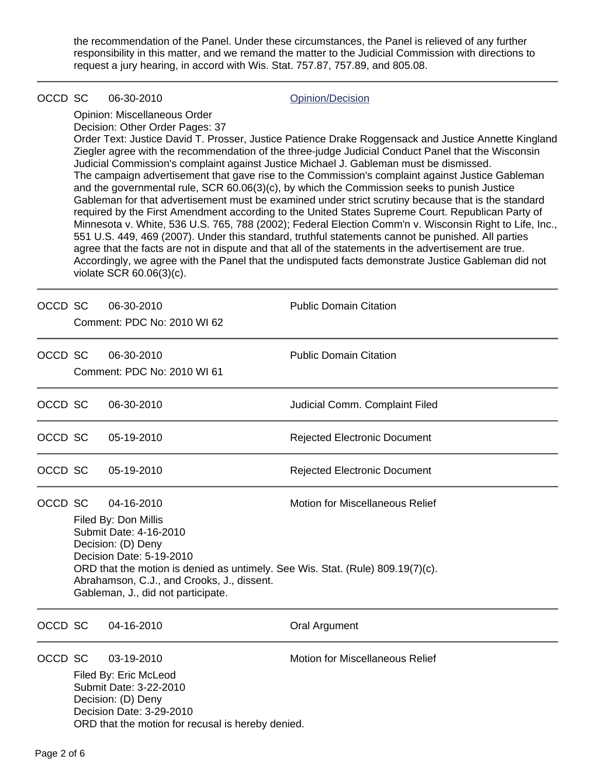the recommendation of the Panel. Under these circumstances, the Panel is relieved of any further responsibility in this matter, and we remand the matter to the Judicial Commission with directions to request a jury hearing, in accord with Wis. Stat. 757.87, 757.89, and 805.08.

### OCCD SC 06-30-2010 Quinter Common [Opinion/Decision](http://www.wicourts.gov/supreme/scopin.jsp?docket_number=2008AP002458)

Opinion: Miscellaneous Order Decision: Other Order Pages: 37

Order Text: Justice David T. Prosser, Justice Patience Drake Roggensack and Justice Annette Kingland Ziegler agree with the recommendation of the three-judge Judicial Conduct Panel that the Wisconsin Judicial Commission's complaint against Justice Michael J. Gableman must be dismissed. The campaign advertisement that gave rise to the Commission's complaint against Justice Gableman and the governmental rule, SCR 60.06(3)(c), by which the Commission seeks to punish Justice Gableman for that advertisement must be examined under strict scrutiny because that is the standard required by the First Amendment according to the United States Supreme Court. Republican Party of Minnesota v. White, 536 U.S. 765, 788 (2002); Federal Election Comm'n v. Wisconsin Right to Life, Inc., 551 U.S. 449, 469 (2007). Under this standard, truthful statements cannot be punished. All parties agree that the facts are not in dispute and that all of the statements in the advertisement are true. Accordingly, we agree with the Panel that the undisputed facts demonstrate Justice Gableman did not violate SCR 60.06(3)(c).

OCCD SC 06-30-2010 **Public Domain Citation** Comment: PDC No: 2010 WI 62 OCCD SC 06-30-2010 **Public Domain Citation** Comment: PDC No: 2010 WI 61 OCCD SC 06-30-2010 Judicial Comm. Complaint Filed OCCD SC 05-19-2010 Rejected Electronic Document OCCD SC 05-19-2010 Rejected Electronic Document OCCD SC 04-16-2010 Motion for Miscellaneous Relief Filed By: Don Millis Submit Date: 4-16-2010 Decision: (D) Deny Decision Date: 5-19-2010 ORD that the motion is denied as untimely. See Wis. Stat. (Rule) 809.19(7)(c). Abrahamson, C.J., and Crooks, J., dissent. Gableman, J., did not participate. OCCD SC 04-16-2010 Quantity Cral Argument OCCD SC 03-19-2010 Motion for Miscellaneous Relief Filed By: Eric McLeod

Submit Date: 3-22-2010 Decision: (D) Deny Decision Date: 3-29-2010 ORD that the motion for recusal is hereby denied.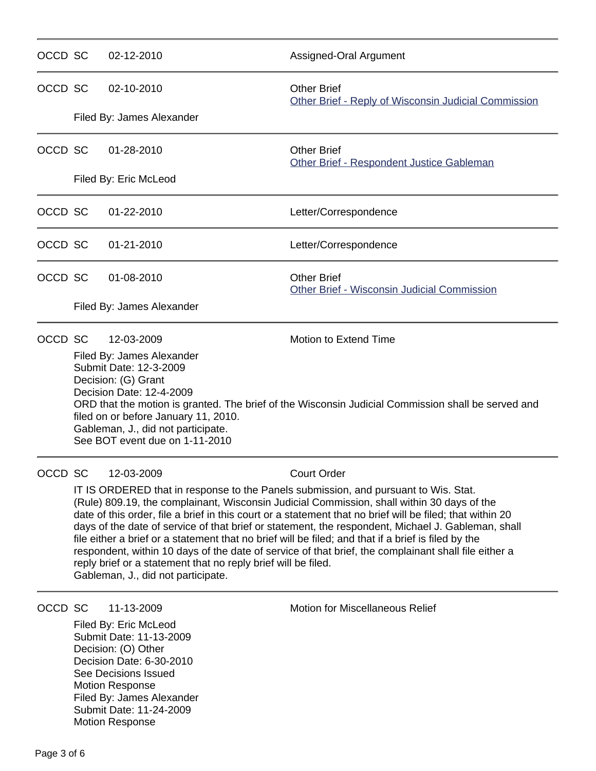| OCCD SC |                           | $02 - 12 - 2010$          | Assigned-Oral Argument                                                     |
|---------|---------------------------|---------------------------|----------------------------------------------------------------------------|
| OCCD SC |                           | 02-10-2010                | <b>Other Brief</b><br>Other Brief - Reply of Wisconsin Judicial Commission |
|         |                           | Filed By: James Alexander |                                                                            |
| OCCD SC |                           | $01 - 28 - 2010$          | <b>Other Brief</b><br>Other Brief - Respondent Justice Gableman            |
|         |                           | Filed By: Eric McLeod     |                                                                            |
| OCCD SC |                           | 01-22-2010                | Letter/Correspondence                                                      |
| OCCD SC |                           | 01-21-2010                | Letter/Correspondence                                                      |
| OCCD SC |                           | 01-08-2010                | <b>Other Brief</b><br>Other Brief - Wisconsin Judicial Commission          |
|         | Filed By: James Alexander |                           |                                                                            |
| OCCD SC |                           | 12-03-2009                | Motion to Extend Time                                                      |

Filed By: James Alexander Submit Date: 12-3-2009 Decision: (G) Grant Decision Date: 12-4-2009 ORD that the motion is granted. The brief of the Wisconsin Judicial Commission shall be served and filed on or before January 11, 2010. Gableman, J., did not participate. See BOT event due on 1-11-2010

### OCCD SC 12-03-2009 Court Order

IT IS ORDERED that in response to the Panels submission, and pursuant to Wis. Stat. (Rule) 809.19, the complainant, Wisconsin Judicial Commission, shall within 30 days of the date of this order, file a brief in this court or a statement that no brief will be filed; that within 20 days of the date of service of that brief or statement, the respondent, Michael J. Gableman, shall file either a brief or a statement that no brief will be filed; and that if a brief is filed by the respondent, within 10 days of the date of service of that brief, the complainant shall file either a reply brief or a statement that no reply brief will be filed. Gableman, J., did not participate.

Filed By: Eric McLeod Submit Date: 11-13-2009 Decision: (O) Other Decision Date: 6-30-2010 See Decisions Issued Motion Response Filed By: James Alexander Submit Date: 11-24-2009 Motion Response

OCCD SC 11-13-2009 Motion for Miscellaneous Relief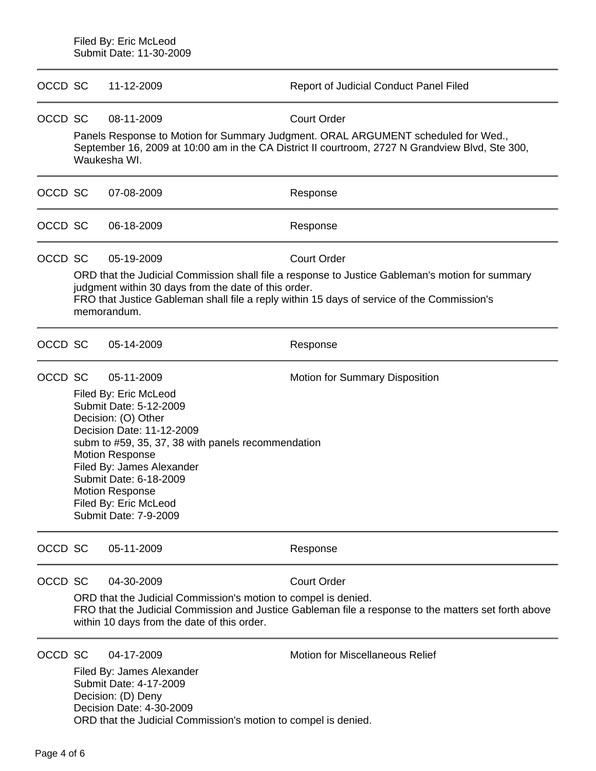|         |                                                                                                                                                                                                                                                                                                                                                                        | Filed By: Eric McLeod<br>Submit Date: 11-30-2009                                                                    |                                               |
|---------|------------------------------------------------------------------------------------------------------------------------------------------------------------------------------------------------------------------------------------------------------------------------------------------------------------------------------------------------------------------------|---------------------------------------------------------------------------------------------------------------------|-----------------------------------------------|
| OCCD SC |                                                                                                                                                                                                                                                                                                                                                                        | 11-12-2009                                                                                                          | <b>Report of Judicial Conduct Panel Filed</b> |
| OCCD SC | 08-11-2009<br><b>Court Order</b><br>Panels Response to Motion for Summary Judgment. ORAL ARGUMENT scheduled for Wed.,<br>September 16, 2009 at 10:00 am in the CA District II courtroom, 2727 N Grandview Blvd, Ste 300,<br>Waukesha WI.                                                                                                                               |                                                                                                                     |                                               |
| OCCD SC |                                                                                                                                                                                                                                                                                                                                                                        | 07-08-2009                                                                                                          | Response                                      |
| OCCD SC |                                                                                                                                                                                                                                                                                                                                                                        | 06-18-2009                                                                                                          | Response                                      |
| OCCD SC | 05-19-2009<br><b>Court Order</b><br>ORD that the Judicial Commission shall file a response to Justice Gableman's motion for summary<br>judgment within 30 days from the date of this order.<br>FRO that Justice Gableman shall file a reply within 15 days of service of the Commission's<br>memorandum.                                                               |                                                                                                                     |                                               |
| OCCD SC |                                                                                                                                                                                                                                                                                                                                                                        | 05-14-2009                                                                                                          | Response                                      |
| OCCD SC | 05-11-2009<br>Motion for Summary Disposition<br>Filed By: Eric McLeod<br>Submit Date: 5-12-2009<br>Decision: (O) Other<br>Decision Date: 11-12-2009<br>subm to #59, 35, 37, 38 with panels recommendation<br><b>Motion Response</b><br>Filed By: James Alexander<br>Submit Date: 6-18-2009<br><b>Motion Response</b><br>Filed By: Eric McLeod<br>Submit Date: 7-9-2009 |                                                                                                                     |                                               |
| OCCD SC |                                                                                                                                                                                                                                                                                                                                                                        | 05-11-2009                                                                                                          | Response                                      |
| OCCD SC | 04-30-2009<br><b>Court Order</b><br>ORD that the Judicial Commission's motion to compel is denied.<br>FRO that the Judicial Commission and Justice Gableman file a response to the matters set forth above<br>within 10 days from the date of this order.                                                                                                              |                                                                                                                     |                                               |
| OCCD SC |                                                                                                                                                                                                                                                                                                                                                                        | 04-17-2009<br>Filed By: James Alexander<br>Submit Date: 4-17-2009<br>Decision: (D) Deny<br>Decision Date: 4-30-2009 | <b>Motion for Miscellaneous Relief</b>        |

ORD that the Judicial Commission's motion to compel is denied.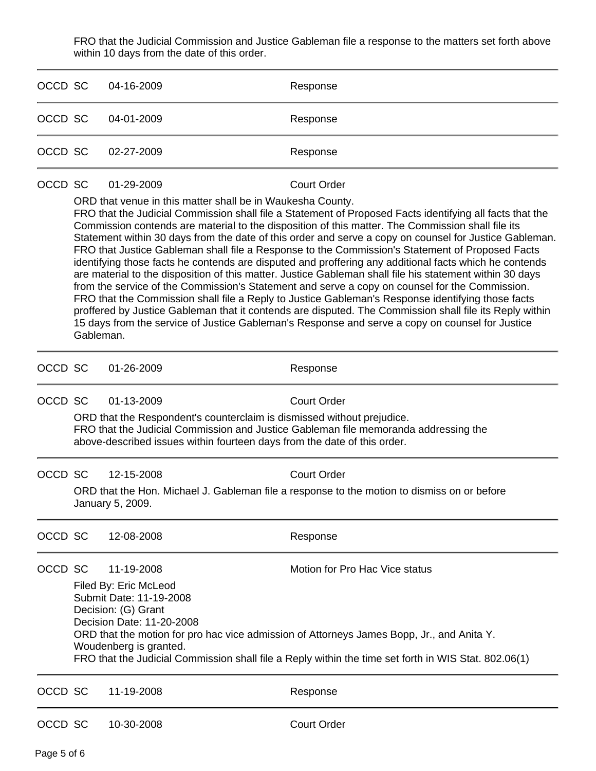FRO that the Judicial Commission and Justice Gableman file a response to the matters set forth above within 10 days from the date of this order.

| OCCD SC |                                                                                                                                                                                                                                           | 04-16-2009                                                                                                          | Response                                                                                                                                                                                                                                                                                                                                                                                                                                                                                                                                                                                                                                                                                                                                                                                                                                                                                                                                                                                                                                                              |  |  |  |
|---------|-------------------------------------------------------------------------------------------------------------------------------------------------------------------------------------------------------------------------------------------|---------------------------------------------------------------------------------------------------------------------|-----------------------------------------------------------------------------------------------------------------------------------------------------------------------------------------------------------------------------------------------------------------------------------------------------------------------------------------------------------------------------------------------------------------------------------------------------------------------------------------------------------------------------------------------------------------------------------------------------------------------------------------------------------------------------------------------------------------------------------------------------------------------------------------------------------------------------------------------------------------------------------------------------------------------------------------------------------------------------------------------------------------------------------------------------------------------|--|--|--|
| OCCD SC |                                                                                                                                                                                                                                           | 04-01-2009                                                                                                          | Response                                                                                                                                                                                                                                                                                                                                                                                                                                                                                                                                                                                                                                                                                                                                                                                                                                                                                                                                                                                                                                                              |  |  |  |
| OCCD SC |                                                                                                                                                                                                                                           | 02-27-2009                                                                                                          | Response                                                                                                                                                                                                                                                                                                                                                                                                                                                                                                                                                                                                                                                                                                                                                                                                                                                                                                                                                                                                                                                              |  |  |  |
| OCCD SC |                                                                                                                                                                                                                                           | 01-29-2009<br>ORD that venue in this matter shall be in Waukesha County.                                            | <b>Court Order</b>                                                                                                                                                                                                                                                                                                                                                                                                                                                                                                                                                                                                                                                                                                                                                                                                                                                                                                                                                                                                                                                    |  |  |  |
|         | Gableman.                                                                                                                                                                                                                                 |                                                                                                                     | FRO that the Judicial Commission shall file a Statement of Proposed Facts identifying all facts that the<br>Commission contends are material to the disposition of this matter. The Commission shall file its<br>Statement within 30 days from the date of this order and serve a copy on counsel for Justice Gableman.<br>FRO that Justice Gableman shall file a Response to the Commission's Statement of Proposed Facts<br>identifying those facts he contends are disputed and proffering any additional facts which he contends<br>are material to the disposition of this matter. Justice Gableman shall file his statement within 30 days<br>from the service of the Commission's Statement and serve a copy on counsel for the Commission.<br>FRO that the Commission shall file a Reply to Justice Gableman's Response identifying those facts<br>proffered by Justice Gableman that it contends are disputed. The Commission shall file its Reply within<br>15 days from the service of Justice Gableman's Response and serve a copy on counsel for Justice |  |  |  |
| OCCD SC |                                                                                                                                                                                                                                           | 01-26-2009                                                                                                          | Response                                                                                                                                                                                                                                                                                                                                                                                                                                                                                                                                                                                                                                                                                                                                                                                                                                                                                                                                                                                                                                                              |  |  |  |
| OCCD SC |                                                                                                                                                                                                                                           | 01-13-2009                                                                                                          | <b>Court Order</b>                                                                                                                                                                                                                                                                                                                                                                                                                                                                                                                                                                                                                                                                                                                                                                                                                                                                                                                                                                                                                                                    |  |  |  |
|         | ORD that the Respondent's counterclaim is dismissed without prejudice.<br>FRO that the Judicial Commission and Justice Gableman file memoranda addressing the<br>above-described issues within fourteen days from the date of this order. |                                                                                                                     |                                                                                                                                                                                                                                                                                                                                                                                                                                                                                                                                                                                                                                                                                                                                                                                                                                                                                                                                                                                                                                                                       |  |  |  |
| OCCD SC |                                                                                                                                                                                                                                           | 12-15-2008                                                                                                          | <b>Court Order</b>                                                                                                                                                                                                                                                                                                                                                                                                                                                                                                                                                                                                                                                                                                                                                                                                                                                                                                                                                                                                                                                    |  |  |  |
|         |                                                                                                                                                                                                                                           | January 5, 2009.                                                                                                    | ORD that the Hon. Michael J. Gableman file a response to the motion to dismiss on or before                                                                                                                                                                                                                                                                                                                                                                                                                                                                                                                                                                                                                                                                                                                                                                                                                                                                                                                                                                           |  |  |  |
| OCCD SC |                                                                                                                                                                                                                                           | 12-08-2008                                                                                                          | Response                                                                                                                                                                                                                                                                                                                                                                                                                                                                                                                                                                                                                                                                                                                                                                                                                                                                                                                                                                                                                                                              |  |  |  |
| OCCD SC |                                                                                                                                                                                                                                           | 11-19-2008                                                                                                          | Motion for Pro Hac Vice status                                                                                                                                                                                                                                                                                                                                                                                                                                                                                                                                                                                                                                                                                                                                                                                                                                                                                                                                                                                                                                        |  |  |  |
|         | Filed By: Eric McLeod<br>Submit Date: 11-19-2008<br>Decision: (G) Grant<br>Decision Date: 11-20-2008                                                                                                                                      |                                                                                                                     |                                                                                                                                                                                                                                                                                                                                                                                                                                                                                                                                                                                                                                                                                                                                                                                                                                                                                                                                                                                                                                                                       |  |  |  |
|         |                                                                                                                                                                                                                                           | ORD that the motion for pro hac vice admission of Attorneys James Bopp, Jr., and Anita Y.<br>Woudenberg is granted. |                                                                                                                                                                                                                                                                                                                                                                                                                                                                                                                                                                                                                                                                                                                                                                                                                                                                                                                                                                                                                                                                       |  |  |  |
|         | FRO that the Judicial Commission shall file a Reply within the time set forth in WIS Stat. 802.06(1)                                                                                                                                      |                                                                                                                     |                                                                                                                                                                                                                                                                                                                                                                                                                                                                                                                                                                                                                                                                                                                                                                                                                                                                                                                                                                                                                                                                       |  |  |  |
| OCCD SC |                                                                                                                                                                                                                                           | 11-19-2008                                                                                                          | Response                                                                                                                                                                                                                                                                                                                                                                                                                                                                                                                                                                                                                                                                                                                                                                                                                                                                                                                                                                                                                                                              |  |  |  |
| OCCD SC |                                                                                                                                                                                                                                           | 10-30-2008                                                                                                          | <b>Court Order</b>                                                                                                                                                                                                                                                                                                                                                                                                                                                                                                                                                                                                                                                                                                                                                                                                                                                                                                                                                                                                                                                    |  |  |  |